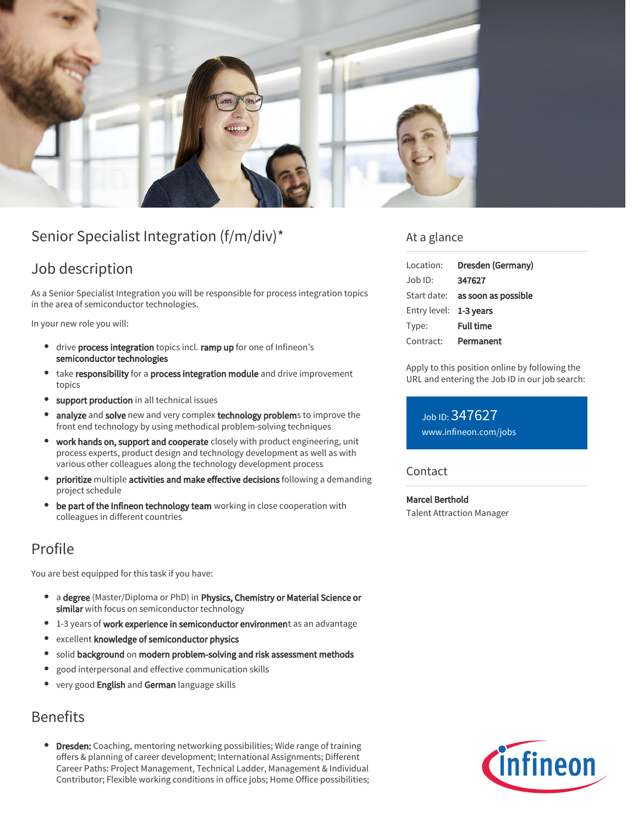

# Senior Specialist Integration (f/m/div)\*

# Job description

As a Senior Specialist Integration you will be responsible for process integration topics in the area of semiconductor technologies.

In your new role you will:

- drive process integration topics incl. ramp up for one of Infineon's semiconductor technologies
- take responsibility for a process integration module and drive improvement topics
- support production in all technical issues
- analyze and solve new and very complex technology problems to improve the  $\bullet$ front end technology by using methodical problem-solving techniques
- work hands on, support and cooperate closely with product engineering, unit process experts, product design and technology development as well as with various other colleagues along the technology development process
- prioritize multiple activities and make effective decisions following a demanding project schedule
- be part of the Infineon technology team working in close cooperation with colleagues in different countries

# Profile

You are best equipped for this task if you have:

- a degree (Master/Diploma or PhD) in Physics, Chemistry or Material Science or similar with focus on semiconductor technology
- <sup>o</sup> 1-3 years of work experience in semiconductor environment as an advantage
- excellent knowledge of semiconductor physics
- **•** solid background on modern problem-solving and risk assessment methods
- $\bullet$ good interpersonal and effective communication skills
- very good English and German language skills

## Benefits

Dresden: Coaching, mentoring networking possibilities; Wide range of training offers & planning of career development; International Assignments; Different Career Paths: Project Management, Technical Ladder, Management & Individual Contributor; Flexible working conditions in office jobs; Home Office possibilities;

### At a glance

| Location:              | Dresden (Germany)                      |
|------------------------|----------------------------------------|
| Job ID:                | 347627                                 |
|                        | Start date: <b>as soon as possible</b> |
| Entry level: 1-3 years |                                        |
| Type:                  | <b>Full time</b>                       |
| Contract:              | Permanent                              |

Apply to this position online by following the URL and entering the Job ID in our job search:

Job ID: 347627 [www.infineon.com/jobs](https://www.infineon.com/jobs)

#### **Contact**

Marcel Berthold Talent Attraction Manager